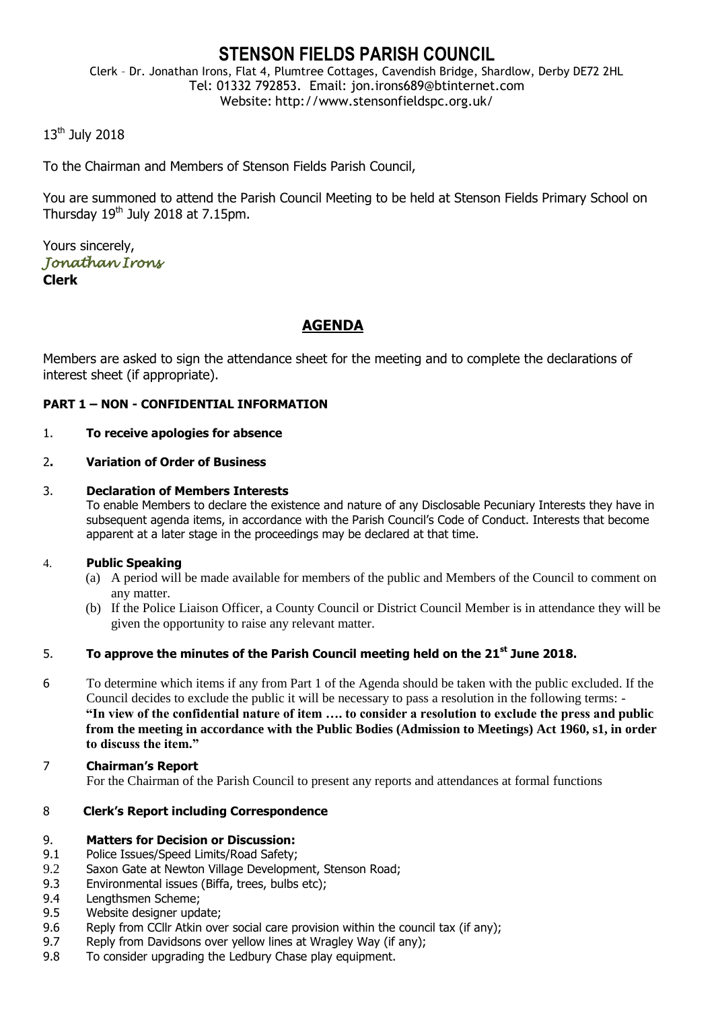## **STENSON FIELDS PARISH COUNCIL**

Clerk – Dr. Jonathan Irons, Flat 4, Plumtree Cottages, Cavendish Bridge, Shardlow, Derby DE72 2HL Tel: 01332 792853. Email: jon.irons689@btinternet.com Website: http://www.stensonfieldspc.org.uk/

#### 13<sup>th</sup> July 2018

To the Chairman and Members of Stenson Fields Parish Council,

You are summoned to attend the Parish Council Meeting to be held at Stenson Fields Primary School on Thursday  $19<sup>th</sup>$  July 2018 at 7.15pm.

Yours sincerely, *Jonathan Irons*  **Clerk**

### **AGENDA**

Members are asked to sign the attendance sheet for the meeting and to complete the declarations of interest sheet (if appropriate).

#### **PART 1 – NON - CONFIDENTIAL INFORMATION**

#### 1. **To receive apologies for absence**

#### 2**. Variation of Order of Business**

#### 3. **Declaration of Members Interests**

To enable Members to declare the existence and nature of any Disclosable Pecuniary Interests they have in subsequent agenda items, in accordance with the Parish Council's Code of Conduct. Interests that become apparent at a later stage in the proceedings may be declared at that time.

#### 4. **Public Speaking**

- (a) A period will be made available for members of the public and Members of the Council to comment on any matter.
- (b) If the Police Liaison Officer, a County Council or District Council Member is in attendance they will be given the opportunity to raise any relevant matter.

#### 5. **To approve the minutes of the Parish Council meeting held on the 21st June 2018.**

- 6 To determine which items if any from Part 1 of the Agenda should be taken with the public excluded. If the Council decides to exclude the public it will be necessary to pass a resolution in the following terms: - **"In view of the confidential nature of item …. to consider a resolution to exclude the press and public from the meeting in accordance with the Public Bodies (Admission to Meetings) Act 1960, s1, in order to discuss the item."**
- 7 **Chairman's Report** For the Chairman of the Parish Council to present any reports and attendances at formal functions

#### 8 **Clerk's Report including Correspondence**

#### 9. **Matters for Decision or Discussion:**

- 9.1 Police Issues/Speed Limits/Road Safety;
- 9.2 Saxon Gate at Newton Village Development, Stenson Road;
- 9.3 Environmental issues (Biffa, trees, bulbs etc);
- 9.4 Lengthsmen Scheme;
- 9.5 Website designer update;
- 9.6 Reply from CCllr Atkin over social care provision within the council tax (if any);
- 9.7 Reply from Davidsons over yellow lines at Wragley Way (if any);
- 9.8 To consider upgrading the Ledbury Chase play equipment.